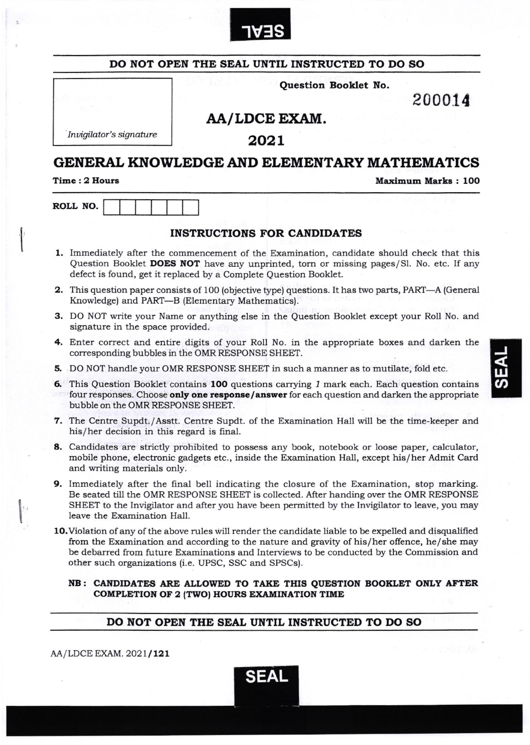

|                                           | Question Booklet No.                                                                                                                                                                                                                                                                                                                                         |                           |
|-------------------------------------------|--------------------------------------------------------------------------------------------------------------------------------------------------------------------------------------------------------------------------------------------------------------------------------------------------------------------------------------------------------------|---------------------------|
|                                           |                                                                                                                                                                                                                                                                                                                                                              | 200014                    |
|                                           | AA/LDCE EXAM.                                                                                                                                                                                                                                                                                                                                                |                           |
| Invigilator's signature                   | 2021                                                                                                                                                                                                                                                                                                                                                         |                           |
|                                           | <b>GENERAL KNOWLEDGE AND ELEMENTARY MATHEMATICS</b>                                                                                                                                                                                                                                                                                                          |                           |
| Time: 2 Hours                             |                                                                                                                                                                                                                                                                                                                                                              | <b>Maximum Marks: 100</b> |
| ROLL NO.                                  |                                                                                                                                                                                                                                                                                                                                                              |                           |
|                                           | <b>INSTRUCTIONS FOR CANDIDATES</b>                                                                                                                                                                                                                                                                                                                           |                           |
|                                           | 1. Immediately after the commencement of the Examination, candidate should check that this<br>Question Booklet DOES NOT have any unprinted, torn or missing pages/Sl. No. etc. If any<br>defect is found, get it replaced by a Complete Question Booklet.                                                                                                    |                           |
|                                           | <b>2.</b> This question paper consists of 100 (objective type) questions. It has two parts, PART—A (General<br>Knowledge) and PART-B (Elementary Mathematics).                                                                                                                                                                                               |                           |
| signature in the space provided.          | 3. DO NOT write your Name or anything else in the Question Booklet except your Roll No. and                                                                                                                                                                                                                                                                  |                           |
|                                           | 4. Enter correct and entire digits of your Roll No. in the appropriate boxes and darken the<br>corresponding bubbles in the OMR RESPONSE SHEET.                                                                                                                                                                                                              |                           |
|                                           | 5. DO NOT handle your OMR RESPONSE SHEET in such a manner as to mutilate, fold etc.                                                                                                                                                                                                                                                                          |                           |
| bubble on the OMR RESPONSE SHEET.         | 6. This Question Booklet contains 100 questions carrying 1 mark each. Each question contains<br>four responses. Choose only one response/answer for each question and darken the appropriate                                                                                                                                                                 |                           |
| his/her decision in this regard is final. | 7. The Centre Supdt,/Asstt. Centre Supdt. of the Examination Hall will be the time-keeper and                                                                                                                                                                                                                                                                |                           |
| and writing materials only.               | 8. Candidates are strictly prohibited to possess any book, notebook or loose paper, calculator,<br>mobile phone, electronic gadgets etc., inside the Examination Hall, except his/her Admit Card                                                                                                                                                             |                           |
| leave the Examination Hall.               | 9. Immediately after the final bell indicating the closure of the Examination, stop marking.<br>Be seated till the OMR RESPONSE SHEET is collected. After handing over the OMR RESPONSE<br>SHEET to the Invigilator and after you have been permitted by the Invigilator to leave, you may                                                                   |                           |
|                                           | 10. Violation of any of the above rules will render the candidate liable to be expelled and disqualified<br>from the Examination and according to the nature and gravity of his/her offence, he/she may<br>be debarred from future Examinations and Interviews to be conducted by the Commission and<br>other such organizations (i.e. UPSC, SSC and SPSCs). |                           |
|                                           | NB: CANDIDATES ARE ALLOWED TO TAKE THIS QUESTION BOOKLET ONLY AFTER<br><b>COMPLETION OF 2 (TWO) HOURS EXAMINATION TIME</b>                                                                                                                                                                                                                                   |                           |
|                                           | DO NOT OPEN THE SEAL UNTIL INSTRUCTED TO DO SO                                                                                                                                                                                                                                                                                                               |                           |

 $\begin{array}{c} \begin{array}{c} \begin{array}{c} \end{array} \\ \begin{array}{c} \end{array} \end{array} \end{array}$ 

 $\left\| \cdot \right\|$ 

J

w<br>က

SEAL